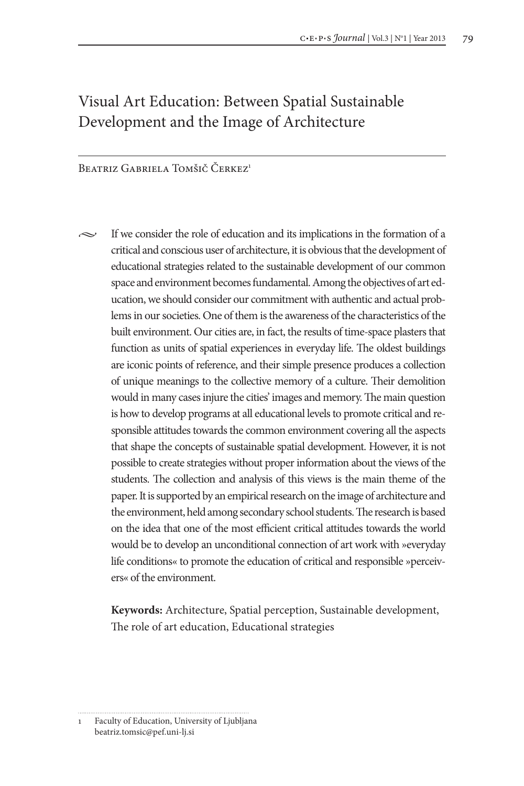# Visual Art Education: Between Spatial Sustainable Development and the Image of Architecture

Beatriz Gabriela Tomšič Čerkez<sup>1</sup>

 $\sim$  If we consider the role of education and its implications in the formation of a critical and conscious user of architecture, it is obvious that the development of educational strategies related to the sustainable development of our common space and environment becomes fundamental. Among the objectives of art education, we should consider our commitment with authentic and actual problems in our societies. One of them is the awareness of the characteristics of the built environment. Our cities are, in fact, the results of time-space plasters that function as units of spatial experiences in everyday life. The oldest buildings are iconic points of reference, and their simple presence produces a collection of unique meanings to the collective memory of a culture. Their demolition would in many cases injure the cities' images and memory. The main question is how to develop programs at all educational levels to promote critical and responsible attitudes towards the common environment covering all the aspects that shape the concepts of sustainable spatial development. However, it is not possible to create strategies without proper information about the views of the students. The collection and analysis of this views is the main theme of the paper. It is supported by an empirical research on the image of architecture and the environment, held among secondary school students. The research is based on the idea that one of the most efficient critical attitudes towards the world would be to develop an unconditional connection of art work with »everyday life conditions« to promote the education of critical and responsible »perceivers« of the environment.

**Keywords:** Architecture, Spatial perception, Sustainable development, The role of art education, Educational strategies

<sup>1</sup> Faculty of Education, University of Ljubljana beatriz.tomsic@pef.uni-lj.si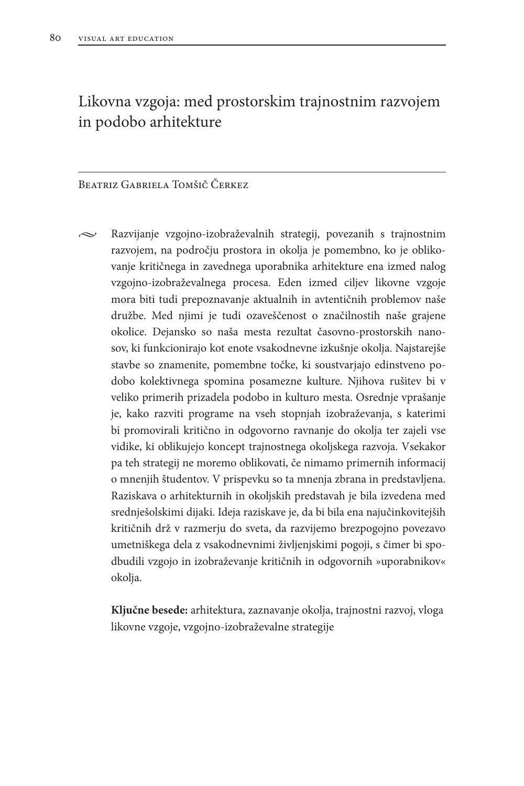# Likovna vzgoja: med prostorskim trajnostnim razvojem in podobo arhitekture

#### Beatriz Gabriela Tomšič Čerkez

 $\sim$  Razvijanje vzgojno-izobraževalnih strategij, povezanih s trajnostnim razvojem, na področju prostora in okolja je pomembno, ko je oblikovanje kritičnega in zavednega uporabnika arhitekture ena izmed nalog vzgojno-izobraževalnega procesa. Eden izmed ciljev likovne vzgoje mora biti tudi prepoznavanje aktualnih in avtentičnih problemov naše družbe. Med njimi je tudi ozaveščenost o značilnostih naše grajene okolice. Dejansko so naša mesta rezultat časovno-prostorskih nanosov, ki funkcionirajo kot enote vsakodnevne izkušnje okolja. Najstarejše stavbe so znamenite, pomembne točke, ki soustvarjajo edinstveno podobo kolektivnega spomina posamezne kulture. Njihova rušitev bi v veliko primerih prizadela podobo in kulturo mesta. Osrednje vprašanje je, kako razviti programe na vseh stopnjah izobraževanja, s katerimi bi promovirali kritično in odgovorno ravnanje do okolja ter zajeli vse vidike, ki oblikujejo koncept trajnostnega okoljskega razvoja. Vsekakor pa teh strategij ne moremo oblikovati, če nimamo primernih informacij o mnenjih študentov. V prispevku so ta mnenja zbrana in predstavljena. Raziskava o arhitekturnih in okoljskih predstavah je bila izvedena med srednješolskimi dijaki. Ideja raziskave je, da bi bila ena najučinkovitejših kritičnih drž v razmerju do sveta, da razvijemo brezpogojno povezavo umetniškega dela z vsakodnevnimi življenjskimi pogoji, s čimer bi spodbudili vzgojo in izobraževanje kritičnih in odgovornih »uporabnikov« okolja.

**Ključne besede:** arhitektura, zaznavanje okolja, trajnostni razvoj, vloga likovne vzgoje, vzgojno-izobraževalne strategije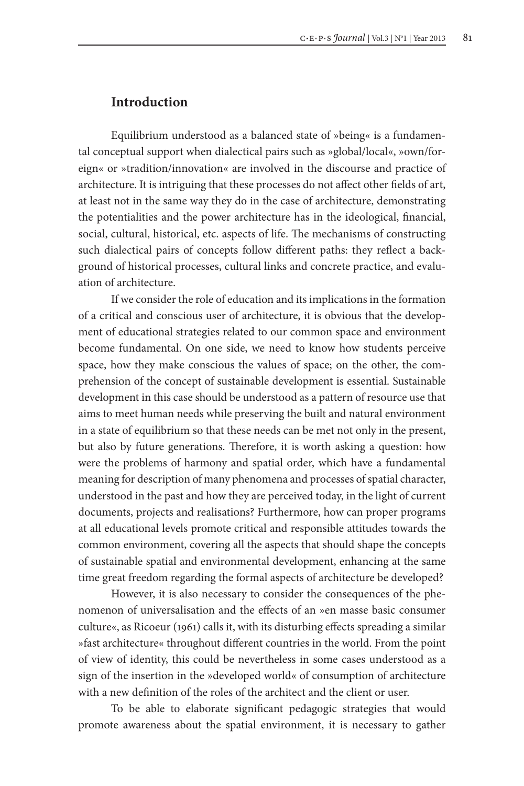#### **Introduction**

Equilibrium understood as a balanced state of »being« is a fundamental conceptual support when dialectical pairs such as »global/local«, »own/foreign« or »tradition/innovation« are involved in the discourse and practice of architecture. It is intriguing that these processes do not affect other fields of art, at least not in the same way they do in the case of architecture, demonstrating the potentialities and the power architecture has in the ideological, financial, social, cultural, historical, etc. aspects of life. The mechanisms of constructing such dialectical pairs of concepts follow different paths: they reflect a background of historical processes, cultural links and concrete practice, and evaluation of architecture.

If we consider the role of education and its implications in the formation of a critical and conscious user of architecture, it is obvious that the development of educational strategies related to our common space and environment become fundamental. On one side, we need to know how students perceive space, how they make conscious the values of space; on the other, the comprehension of the concept of sustainable development is essential. Sustainable development in this case should be understood as a pattern of resource use that aims to meet human needs while preserving the built and natural environment in a state of equilibrium so that these needs can be met not only in the present, but also by future generations. Therefore, it is worth asking a question: how were the problems of harmony and spatial order, which have a fundamental meaning for description of many phenomena and processes of spatial character, understood in the past and how they are perceived today, in the light of current documents, projects and realisations? Furthermore, how can proper programs at all educational levels promote critical and responsible attitudes towards the common environment, covering all the aspects that should shape the concepts of sustainable spatial and environmental development, enhancing at the same time great freedom regarding the formal aspects of architecture be developed?

However, it is also necessary to consider the consequences of the phenomenon of universalisation and the effects of an »en masse basic consumer culture«, as Ricoeur (1961) calls it, with its disturbing effects spreading a similar »fast architecture« throughout different countries in the world. From the point of view of identity, this could be nevertheless in some cases understood as a sign of the insertion in the »developed world« of consumption of architecture with a new definition of the roles of the architect and the client or user.

To be able to elaborate significant pedagogic strategies that would promote awareness about the spatial environment, it is necessary to gather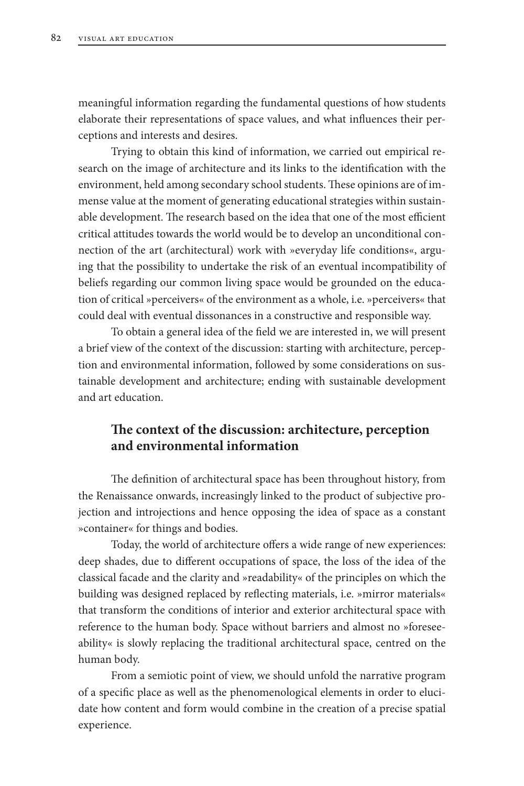meaningful information regarding the fundamental questions of how students elaborate their representations of space values, and what influences their perceptions and interests and desires.

Trying to obtain this kind of information, we carried out empirical research on the image of architecture and its links to the identification with the environment, held among secondary school students. These opinions are of immense value at the moment of generating educational strategies within sustainable development. The research based on the idea that one of the most efficient critical attitudes towards the world would be to develop an unconditional connection of the art (architectural) work with »everyday life conditions«, arguing that the possibility to undertake the risk of an eventual incompatibility of beliefs regarding our common living space would be grounded on the education of critical »perceivers« of the environment as a whole, i.e. »perceivers« that could deal with eventual dissonances in a constructive and responsible way.

To obtain a general idea of the field we are interested in, we will present a brief view of the context of the discussion: starting with architecture, perception and environmental information, followed by some considerations on sustainable development and architecture; ending with sustainable development and art education.

# **The context of the discussion: architecture, perception and environmental information**

The definition of architectural space has been throughout history, from the Renaissance onwards, increasingly linked to the product of subjective projection and introjections and hence opposing the idea of space as a constant »container« for things and bodies.

Today, the world of architecture offers a wide range of new experiences: deep shades, due to different occupations of space, the loss of the idea of the classical facade and the clarity and »readability« of the principles on which the building was designed replaced by reflecting materials, i.e. »mirror materials« that transform the conditions of interior and exterior architectural space with reference to the human body. Space without barriers and almost no »foreseeability« is slowly replacing the traditional architectural space, centred on the human body.

From a semiotic point of view, we should unfold the narrative program of a specific place as well as the phenomenological elements in order to elucidate how content and form would combine in the creation of a precise spatial experience.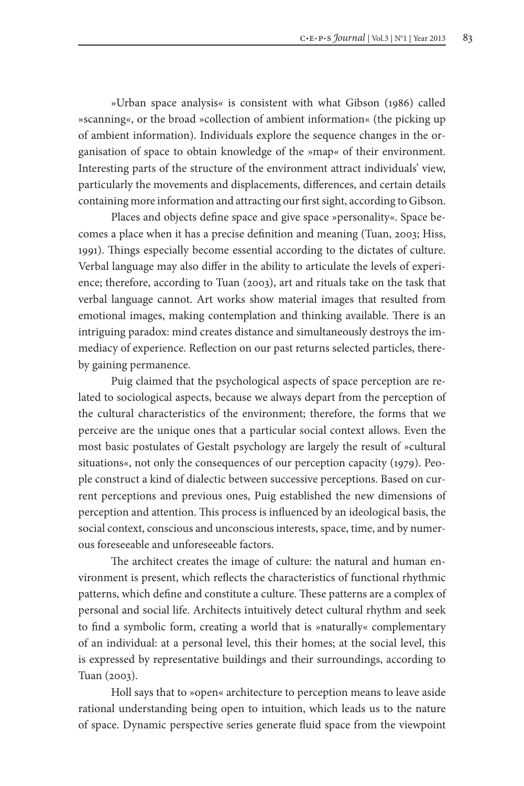»Urban space analysis« is consistent with what Gibson (1986) called »scanning«, or the broad »collection of ambient information« (the picking up of ambient information). Individuals explore the sequence changes in the organisation of space to obtain knowledge of the »map« of their environment. Interesting parts of the structure of the environment attract individuals' view, particularly the movements and displacements, differences, and certain details containing more information and attracting our first sight, according to Gibson.

Places and objects define space and give space »personality«. Space becomes a place when it has a precise definition and meaning (Tuan, 2003; Hiss, 1991). Things especially become essential according to the dictates of culture. Verbal language may also differ in the ability to articulate the levels of experience; therefore, according to Tuan (2003), art and rituals take on the task that verbal language cannot. Art works show material images that resulted from emotional images, making contemplation and thinking available. There is an intriguing paradox: mind creates distance and simultaneously destroys the immediacy of experience. Reflection on our past returns selected particles, thereby gaining permanence.

Puig claimed that the psychological aspects of space perception are related to sociological aspects, because we always depart from the perception of the cultural characteristics of the environment; therefore, the forms that we perceive are the unique ones that a particular social context allows. Even the most basic postulates of Gestalt psychology are largely the result of »cultural situations«, not only the consequences of our perception capacity (1979). People construct a kind of dialectic between successive perceptions. Based on current perceptions and previous ones, Puig established the new dimensions of perception and attention. This process is influenced by an ideological basis, the social context, conscious and unconscious interests, space, time, and by numerous foreseeable and unforeseeable factors.

The architect creates the image of culture: the natural and human environment is present, which reflects the characteristics of functional rhythmic patterns, which define and constitute a culture. These patterns are a complex of personal and social life. Architects intuitively detect cultural rhythm and seek to find a symbolic form, creating a world that is »naturally« complementary of an individual: at a personal level, this their homes; at the social level, this is expressed by representative buildings and their surroundings, according to Tuan (2003).

Holl says that to »open« architecture to perception means to leave aside rational understanding being open to intuition, which leads us to the nature of space. Dynamic perspective series generate fluid space from the viewpoint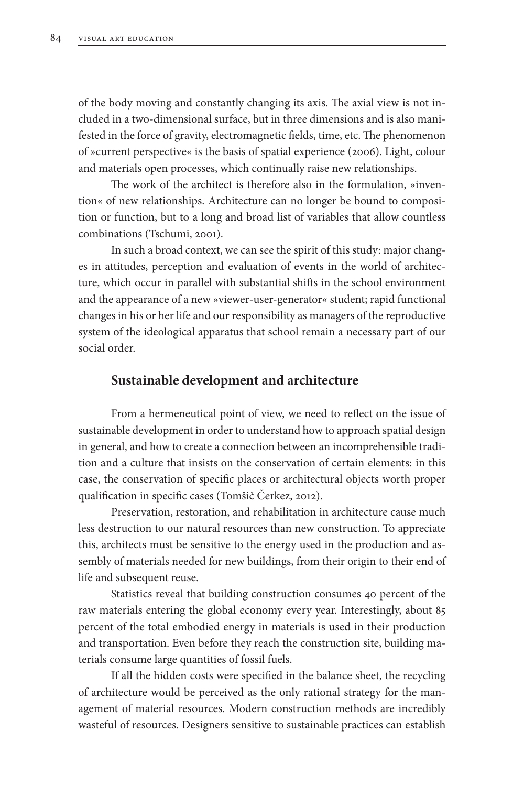of the body moving and constantly changing its axis. The axial view is not included in a two-dimensional surface, but in three dimensions and is also manifested in the force of gravity, electromagnetic fields, time, etc. The phenomenon of »current perspective« is the basis of spatial experience (2006). Light, colour and materials open processes, which continually raise new relationships.

The work of the architect is therefore also in the formulation, »invention« of new relationships. Architecture can no longer be bound to composition or function, but to a long and broad list of variables that allow countless combinations (Tschumi, 2001).

In such a broad context, we can see the spirit of this study: major changes in attitudes, perception and evaluation of events in the world of architecture, which occur in parallel with substantial shifts in the school environment and the appearance of a new »viewer-user-generator« student; rapid functional changes in his or her life and our responsibility as managers of the reproductive system of the ideological apparatus that school remain a necessary part of our social order.

#### **Sustainable development and architecture**

From a hermeneutical point of view, we need to reflect on the issue of sustainable development in order to understand how to approach spatial design in general, and how to create a connection between an incomprehensible tradition and a culture that insists on the conservation of certain elements: in this case, the conservation of specific places or architectural objects worth proper qualification in specific cases (Tomšič Čerkez, 2012).

Preservation, restoration, and rehabilitation in architecture cause much less destruction to our natural resources than new construction. To appreciate this, architects must be sensitive to the energy used in the production and assembly of materials needed for new buildings, from their origin to their end of life and subsequent reuse.

Statistics reveal that building construction consumes 40 percent of the raw materials entering the global economy every year. Interestingly, about 85 percent of the total embodied energy in materials is used in their production and transportation. Even before they reach the construction site, building materials consume large quantities of fossil fuels.

If all the hidden costs were specified in the balance sheet, the recycling of architecture would be perceived as the only rational strategy for the management of material resources. Modern construction methods are incredibly wasteful of resources. Designers sensitive to sustainable practices can establish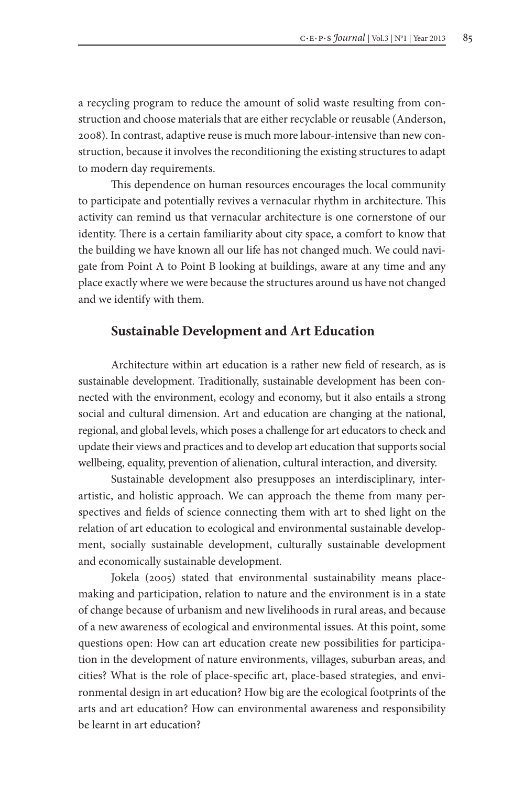a recycling program to reduce the amount of solid waste resulting from construction and choose materials that are either recyclable or reusable (Anderson, 2008). In contrast, adaptive reuse is much more labour-intensive than new construction, because it involves the reconditioning the existing structures to adapt to modern day requirements.

This dependence on human resources encourages the local community to participate and potentially revives a vernacular rhythm in architecture. This activity can remind us that vernacular architecture is one cornerstone of our identity. There is a certain familiarity about city space, a comfort to know that the building we have known all our life has not changed much. We could navigate from Point A to Point B looking at buildings, aware at any time and any place exactly where we were because the structures around us have not changed and we identify with them.

## **Sustainable Development and Art Education**

Architecture within art education is a rather new field of research, as is sustainable development. Traditionally, sustainable development has been connected with the environment, ecology and economy, but it also entails a strong social and cultural dimension. Art and education are changing at the national, regional, and global levels, which poses a challenge for art educators to check and update their views and practices and to develop art education that supports social wellbeing, equality, prevention of alienation, cultural interaction, and diversity.

Sustainable development also presupposes an interdisciplinary, interartistic, and holistic approach. We can approach the theme from many perspectives and fields of science connecting them with art to shed light on the relation of art education to ecological and environmental sustainable development, socially sustainable development, culturally sustainable development and economically sustainable development.

Jokela (2005) stated that environmental sustainability means placemaking and participation, relation to nature and the environment is in a state of change because of urbanism and new livelihoods in rural areas, and because of a new awareness of ecological and environmental issues. At this point, some questions open: How can art education create new possibilities for participation in the development of nature environments, villages, suburban areas, and cities? What is the role of place-specific art, place-based strategies, and environmental design in art education? How big are the ecological footprints of the arts and art education? How can environmental awareness and responsibility be learnt in art education?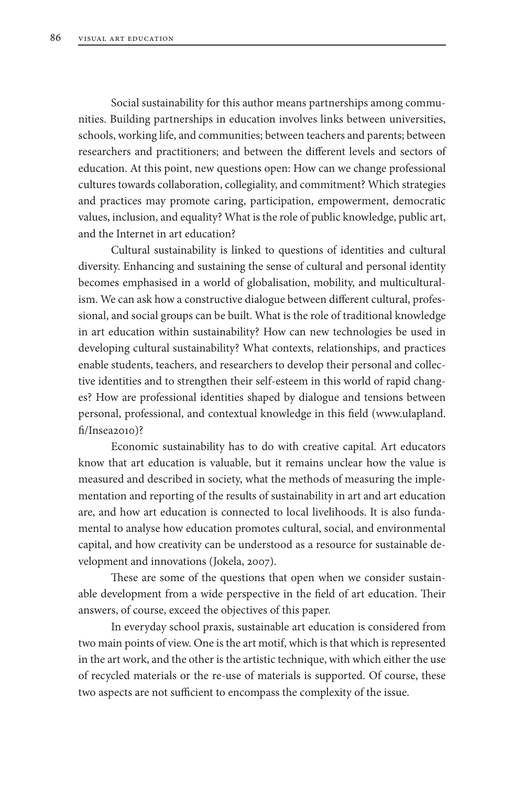Social sustainability for this author means partnerships among communities. Building partnerships in education involves links between universities, schools, working life, and communities; between teachers and parents; between researchers and practitioners; and between the different levels and sectors of education. At this point, new questions open: How can we change professional cultures towards collaboration, collegiality, and commitment? Which strategies and practices may promote caring, participation, empowerment, democratic values, inclusion, and equality? What is the role of public knowledge, public art, and the Internet in art education?

Cultural sustainability is linked to questions of identities and cultural diversity. Enhancing and sustaining the sense of cultural and personal identity becomes emphasised in a world of globalisation, mobility, and multiculturalism. We can ask how a constructive dialogue between different cultural, professional, and social groups can be built. What is the role of traditional knowledge in art education within sustainability? How can new technologies be used in developing cultural sustainability? What contexts, relationships, and practices enable students, teachers, and researchers to develop their personal and collective identities and to strengthen their self-esteem in this world of rapid changes? How are professional identities shaped by dialogue and tensions between personal, professional, and contextual knowledge in this field (www.ulapland. fi/Insea2010)?

Economic sustainability has to do with creative capital. Art educators know that art education is valuable, but it remains unclear how the value is measured and described in society, what the methods of measuring the implementation and reporting of the results of sustainability in art and art education are, and how art education is connected to local livelihoods. It is also fundamental to analyse how education promotes cultural, social, and environmental capital, and how creativity can be understood as a resource for sustainable development and innovations (Jokela, 2007).

These are some of the questions that open when we consider sustainable development from a wide perspective in the field of art education. Their answers, of course, exceed the objectives of this paper.

In everyday school praxis, sustainable art education is considered from two main points of view. One is the art motif, which is that which is represented in the art work, and the other is the artistic technique, with which either the use of recycled materials or the re-use of materials is supported. Of course, these two aspects are not sufficient to encompass the complexity of the issue.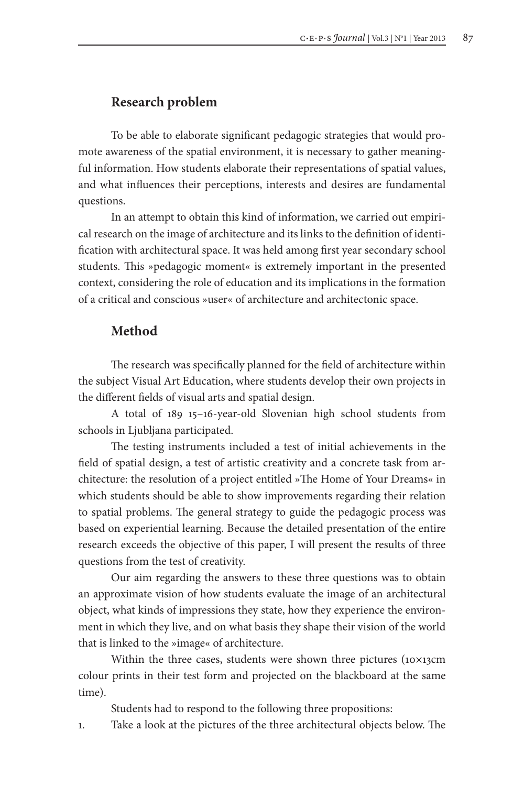### **Research problem**

To be able to elaborate significant pedagogic strategies that would promote awareness of the spatial environment, it is necessary to gather meaningful information. How students elaborate their representations of spatial values, and what influences their perceptions, interests and desires are fundamental questions.

In an attempt to obtain this kind of information, we carried out empirical research on the image of architecture and its links to the definition of identification with architectural space. It was held among first year secondary school students. This »pedagogic moment« is extremely important in the presented context, considering the role of education and its implications in the formation of a critical and conscious »user« of architecture and architectonic space.

### **Method**

The research was specifically planned for the field of architecture within the subject Visual Art Education, where students develop their own projects in the different fields of visual arts and spatial design.

A total of 189 15–16-year-old Slovenian high school students from schools in Ljubljana participated.

The testing instruments included a test of initial achievements in the field of spatial design, a test of artistic creativity and a concrete task from architecture: the resolution of a project entitled »The Home of Your Dreams« in which students should be able to show improvements regarding their relation to spatial problems. The general strategy to guide the pedagogic process was based on experiential learning. Because the detailed presentation of the entire research exceeds the objective of this paper, I will present the results of three questions from the test of creativity.

Our aim regarding the answers to these three questions was to obtain an approximate vision of how students evaluate the image of an architectural object, what kinds of impressions they state, how they experience the environment in which they live, and on what basis they shape their vision of the world that is linked to the »image« of architecture.

Within the three cases, students were shown three pictures (10×13cm colour prints in their test form and projected on the blackboard at the same time).

Students had to respond to the following three propositions:

1. Take a look at the pictures of the three architectural objects below. The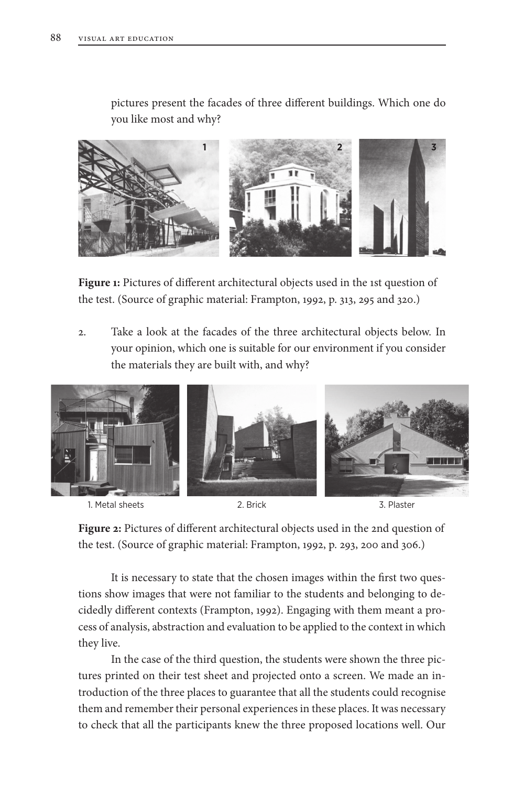pictures present the facades of three different buildings. Which one do you like most and why?



**Figure 1:** Pictures of different architectural objects used in the 1st question of the test. (Source of graphic material: Frampton, 1992, p. 313, 295 and 320.)

2. Take a look at the facades of the three architectural objects below. In your opinion, which one is suitable for our environment if you consider the materials they are built with, and why?





**Figure 2:** Pictures of different architectural objects used in the 2nd question of the test. (Source of graphic material: Frampton, 1992, p. 293, 200 and 306.)

It is necessary to state that the chosen images within the first two questions show images that were not familiar to the students and belonging to decidedly different contexts (Frampton, 1992). Engaging with them meant a process of analysis, abstraction and evaluation to be applied to the context in which they live.

In the case of the third question, the students were shown the three pictures printed on their test sheet and projected onto a screen. We made an introduction of the three places to guarantee that all the students could recognise them and remember their personal experiences in these places. It was necessary to check that all the participants knew the three proposed locations well. Our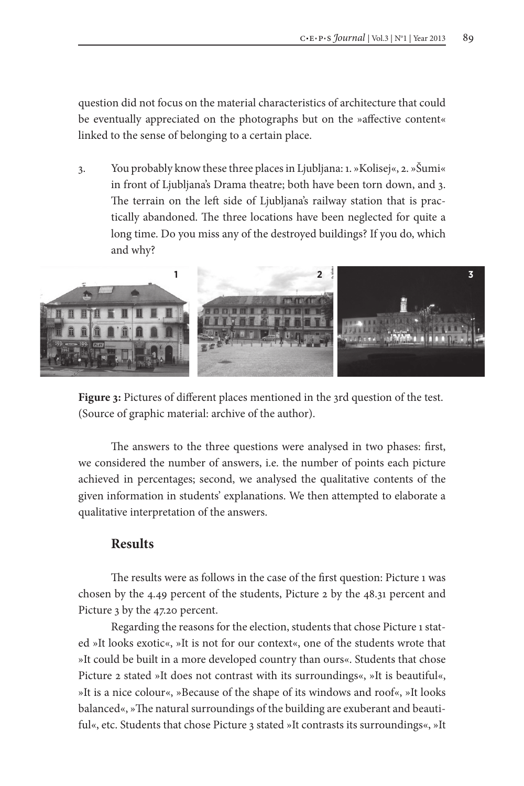question did not focus on the material characteristics of architecture that could be eventually appreciated on the photographs but on the »affective content« linked to the sense of belonging to a certain place.

3. You probably know these three places in Ljubljana: 1. »Kolisej«, 2. »Šumi« in front of Ljubljana's Drama theatre; both have been torn down, and 3. The terrain on the left side of Ljubljana's railway station that is practically abandoned. The three locations have been neglected for quite a long time. Do you miss any of the destroyed buildings? If you do, which and why?



**Figure 3:** Pictures of different places mentioned in the 3rd question of the test. (Source of graphic material: archive of the author).

The answers to the three questions were analysed in two phases: first, we considered the number of answers, i.e. the number of points each picture achieved in percentages; second, we analysed the qualitative contents of the given information in students' explanations. We then attempted to elaborate a qualitative interpretation of the answers.

## **Results**

The results were as follows in the case of the first question: Picture 1 was chosen by the 4.49 percent of the students, Picture 2 by the 48.31 percent and Picture 3 by the 47.20 percent.

Regarding the reasons for the election, students that chose Picture 1 stated »It looks exotic«, »It is not for our context«, one of the students wrote that »It could be built in a more developed country than ours«. Students that chose Picture 2 stated »It does not contrast with its surroundings«, »It is beautiful«, »It is a nice colour«, »Because of the shape of its windows and roof«, »It looks balanced«, »The natural surroundings of the building are exuberant and beautiful«, etc. Students that chose Picture 3 stated »It contrasts its surroundings«, »It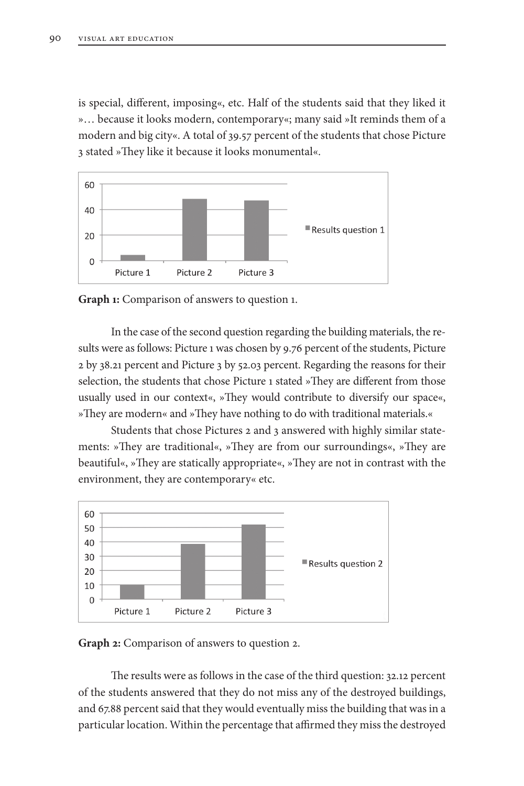is special, different, imposing«, etc. Half of the students said that they liked it »… because it looks modern, contemporary«; many said »It reminds them of a modern and big city«. A total of 39.57 percent of the students that chose Picture 3 stated »They like it because it looks monumental«.



**Graph 1:** Comparison of answers to question 1.

In the case of the second question regarding the building materials, the results were as follows: Picture 1 was chosen by 9.76 percent of the students, Picture 2 by 38.21 percent and Picture 3 by 52.03 percent. Regarding the reasons for their selection, the students that chose Picture 1 stated »They are different from those usually used in our context«, »They would contribute to diversify our space«, »They are modern« and »They have nothing to do with traditional materials.«

Students that chose Pictures 2 and 3 answered with highly similar statements: »They are traditional«, »They are from our surroundings«, »They are beautiful«, »They are statically appropriate«, »They are not in contrast with the environment, they are contemporary« etc.



**Graph 2:** Comparison of answers to question 2.

The results were as follows in the case of the third question: 32.12 percent of the students answered that they do not miss any of the destroyed buildings, and 67.88 percent said that they would eventually miss the building that was in a particular location. Within the percentage that affirmed they miss the destroyed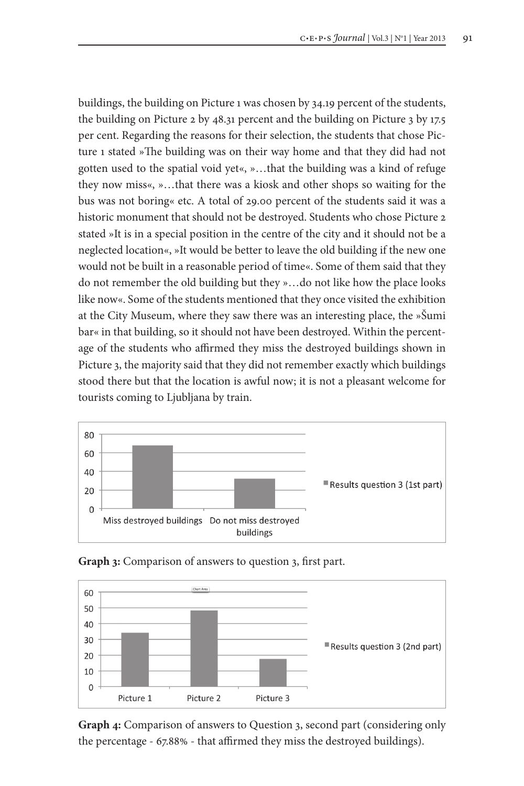buildings, the building on Picture 1 was chosen by 34.19 percent of the students, the building on Picture 2 by 48.31 percent and the building on Picture 3 by 17.5 per cent. Regarding the reasons for their selection, the students that chose Picture 1 stated »The building was on their way home and that they did had not gotten used to the spatial void yet«, »…that the building was a kind of refuge they now miss«, »…that there was a kiosk and other shops so waiting for the bus was not boring« etc. A total of 29.00 percent of the students said it was a historic monument that should not be destroyed. Students who chose Picture 2 stated »It is in a special position in the centre of the city and it should not be a neglected location«, »It would be better to leave the old building if the new one would not be built in a reasonable period of time«. Some of them said that they do not remember the old building but they »…do not like how the place looks like now«. Some of the students mentioned that they once visited the exhibition at the City Museum, where they saw there was an interesting place, the »Šumi bar« in that building, so it should not have been destroyed. Within the percentage of the students who affirmed they miss the destroyed buildings shown in Picture 3, the majority said that they did not remember exactly which buildings stood there but that the location is awful now; it is not a pleasant welcome for tourists coming to Ljubljana by train.



**Graph 3:** Comparison of answers to question 3, first part.



**Graph 4:** Comparison of answers to Question 3, second part (considering only the percentage - 67.88% - that affirmed they miss the destroyed buildings).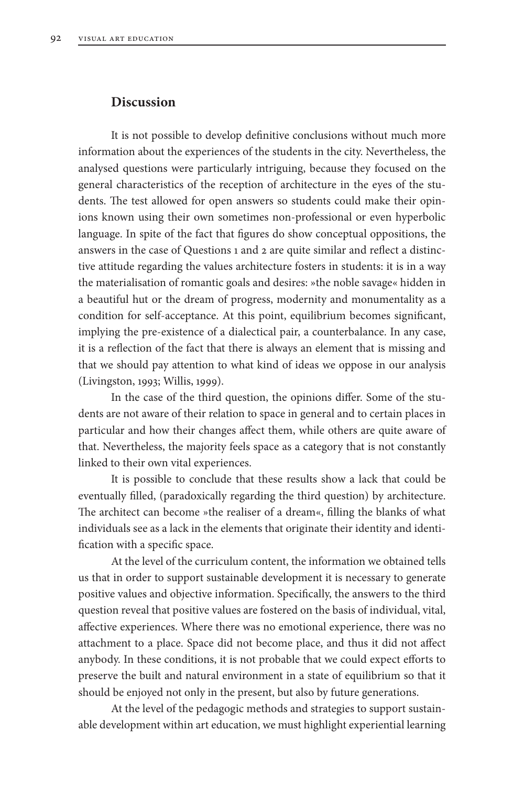#### **Discussion**

It is not possible to develop definitive conclusions without much more information about the experiences of the students in the city. Nevertheless, the analysed questions were particularly intriguing, because they focused on the general characteristics of the reception of architecture in the eyes of the students. The test allowed for open answers so students could make their opinions known using their own sometimes non-professional or even hyperbolic language. In spite of the fact that figures do show conceptual oppositions, the answers in the case of Questions 1 and 2 are quite similar and reflect a distinctive attitude regarding the values architecture fosters in students: it is in a way the materialisation of romantic goals and desires: »the noble savage« hidden in a beautiful hut or the dream of progress, modernity and monumentality as a condition for self-acceptance. At this point, equilibrium becomes significant, implying the pre-existence of a dialectical pair, a counterbalance. In any case, it is a reflection of the fact that there is always an element that is missing and that we should pay attention to what kind of ideas we oppose in our analysis (Livingston, 1993; Willis, 1999).

In the case of the third question, the opinions differ. Some of the students are not aware of their relation to space in general and to certain places in particular and how their changes affect them, while others are quite aware of that. Nevertheless, the majority feels space as a category that is not constantly linked to their own vital experiences.

It is possible to conclude that these results show a lack that could be eventually filled, (paradoxically regarding the third question) by architecture. The architect can become »the realiser of a dream«, filling the blanks of what individuals see as a lack in the elements that originate their identity and identification with a specific space.

At the level of the curriculum content, the information we obtained tells us that in order to support sustainable development it is necessary to generate positive values and objective information. Specifically, the answers to the third question reveal that positive values are fostered on the basis of individual, vital, affective experiences. Where there was no emotional experience, there was no attachment to a place. Space did not become place, and thus it did not affect anybody. In these conditions, it is not probable that we could expect efforts to preserve the built and natural environment in a state of equilibrium so that it should be enjoyed not only in the present, but also by future generations.

At the level of the pedagogic methods and strategies to support sustainable development within art education, we must highlight experiential learning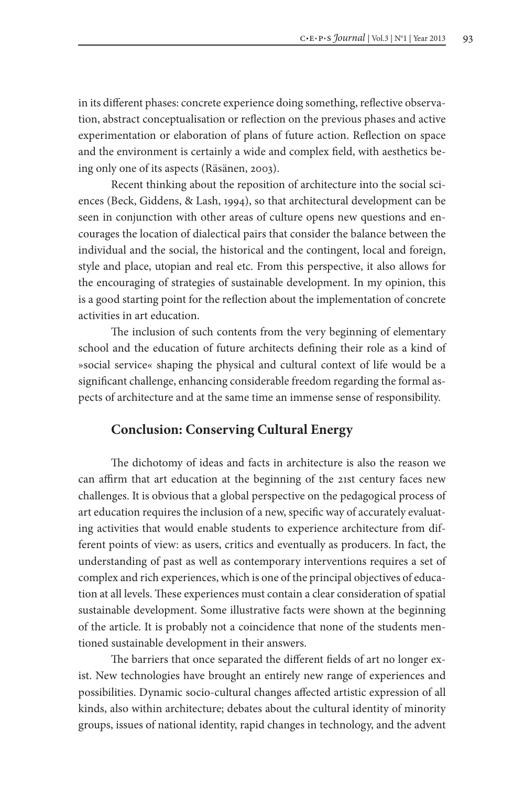in its different phases: concrete experience doing something, reflective observation, abstract conceptualisation or reflection on the previous phases and active experimentation or elaboration of plans of future action. Reflection on space and the environment is certainly a wide and complex field, with aesthetics being only one of its aspects (Räsänen, 2003).

Recent thinking about the reposition of architecture into the social sciences (Beck, Giddens, & Lash, 1994), so that architectural development can be seen in conjunction with other areas of culture opens new questions and encourages the location of dialectical pairs that consider the balance between the individual and the social, the historical and the contingent, local and foreign, style and place, utopian and real etc. From this perspective, it also allows for the encouraging of strategies of sustainable development. In my opinion, this is a good starting point for the reflection about the implementation of concrete activities in art education.

The inclusion of such contents from the very beginning of elementary school and the education of future architects defining their role as a kind of »social service« shaping the physical and cultural context of life would be a significant challenge, enhancing considerable freedom regarding the formal aspects of architecture and at the same time an immense sense of responsibility.

## **Conclusion: Conserving Cultural Energy**

The dichotomy of ideas and facts in architecture is also the reason we can affirm that art education at the beginning of the 21st century faces new challenges. It is obvious that a global perspective on the pedagogical process of art education requires the inclusion of a new, specific way of accurately evaluating activities that would enable students to experience architecture from different points of view: as users, critics and eventually as producers. In fact, the understanding of past as well as contemporary interventions requires a set of complex and rich experiences, which is one of the principal objectives of education at all levels. These experiences must contain a clear consideration of spatial sustainable development. Some illustrative facts were shown at the beginning of the article. It is probably not a coincidence that none of the students mentioned sustainable development in their answers.

The barriers that once separated the different fields of art no longer exist. New technologies have brought an entirely new range of experiences and possibilities. Dynamic socio-cultural changes affected artistic expression of all kinds, also within architecture; debates about the cultural identity of minority groups, issues of national identity, rapid changes in technology, and the advent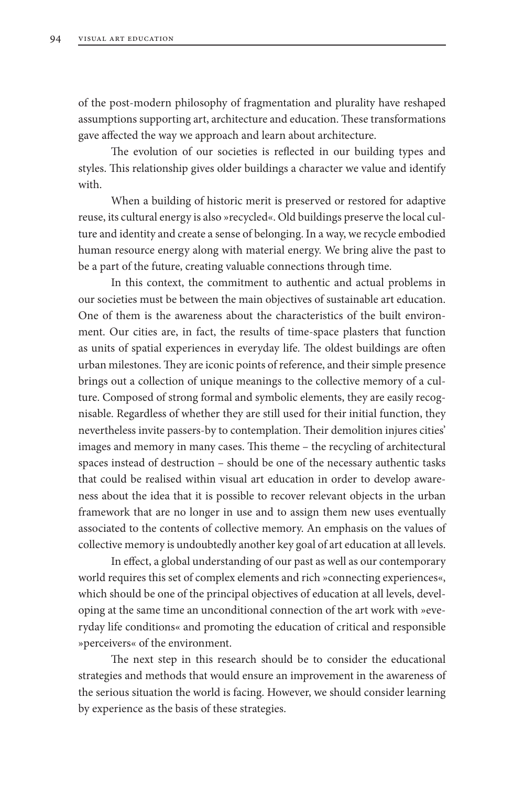of the post-modern philosophy of fragmentation and plurality have reshaped assumptions supporting art, architecture and education. These transformations gave affected the way we approach and learn about architecture.

The evolution of our societies is reflected in our building types and styles. This relationship gives older buildings a character we value and identify with.

When a building of historic merit is preserved or restored for adaptive reuse, its cultural energy is also »recycled«. Old buildings preserve the local culture and identity and create a sense of belonging. In a way, we recycle embodied human resource energy along with material energy. We bring alive the past to be a part of the future, creating valuable connections through time.

In this context, the commitment to authentic and actual problems in our societies must be between the main objectives of sustainable art education. One of them is the awareness about the characteristics of the built environment. Our cities are, in fact, the results of time-space plasters that function as units of spatial experiences in everyday life. The oldest buildings are often urban milestones. They are iconic points of reference, and their simple presence brings out a collection of unique meanings to the collective memory of a culture. Composed of strong formal and symbolic elements, they are easily recognisable. Regardless of whether they are still used for their initial function, they nevertheless invite passers-by to contemplation. Their demolition injures cities' images and memory in many cases. This theme – the recycling of architectural spaces instead of destruction – should be one of the necessary authentic tasks that could be realised within visual art education in order to develop awareness about the idea that it is possible to recover relevant objects in the urban framework that are no longer in use and to assign them new uses eventually associated to the contents of collective memory. An emphasis on the values of collective memory is undoubtedly another key goal of art education at all levels.

In effect, a global understanding of our past as well as our contemporary world requires this set of complex elements and rich »connecting experiences«, which should be one of the principal objectives of education at all levels, developing at the same time an unconditional connection of the art work with »everyday life conditions« and promoting the education of critical and responsible »perceivers« of the environment.

The next step in this research should be to consider the educational strategies and methods that would ensure an improvement in the awareness of the serious situation the world is facing. However, we should consider learning by experience as the basis of these strategies.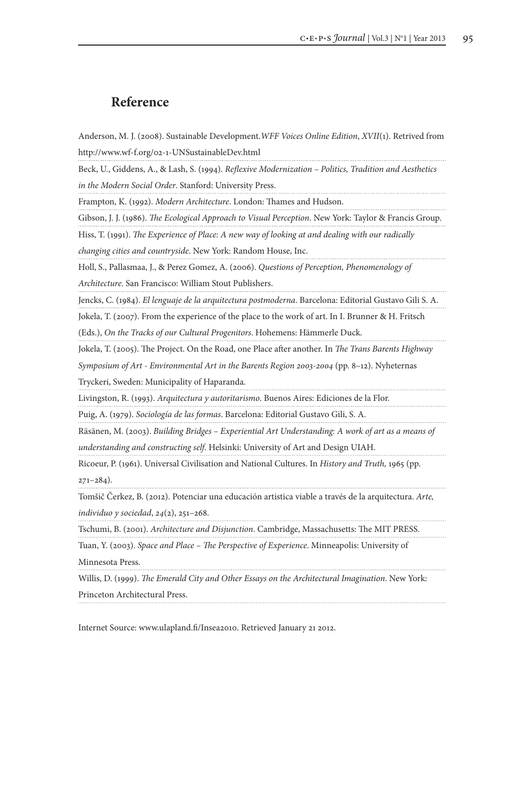## **Reference**

Anderson, M. J. (2008). Sustainable Development.*WFF Voices Online Edition*, *XVII*(1). Retrived from http://www.wf-f.org/02-1-UNSustainableDev.html

Beck, U., Giddens, A., & Lash, S. (1994). *Reflexive Modernization – Politics, Tradition and Aesthetics in the Modern Social Order*. Stanford: University Press.

Frampton, K. (1992). *Modern Architecture*. London: Thames and Hudson.

Gibson, J. J. (1986). *The Ecological Approach to Visual Perception*. New York: Taylor & Francis Group.

Hiss, T. (1991). *The Experience of Place: A new way of looking at and dealing with our radically* 

*changing cities and countryside*. New York: Random House, Inc.

Holl, S., Pallasmaa, J., & Perez Gomez, A. (2006). *Questions of Perception, Phenomenology of* 

*Architecture*. San Francisco: William Stout Publishers.

Jencks, C. (1984). *El lenguaje de la arquitectura postmoderna*. Barcelona: Editorial Gustavo Gili S. A.

Jokela, T. (2007). From the experience of the place to the work of art. In I. Brunner & H. Fritsch

(Eds.), *On the Tracks of our Cultural Progenitors*. Hohemens: Hämmerle Duck.

Jokela, T. (2005). The Project. On the Road, one Place after another. In *The Trans Barents Highway* 

*Symposium of Art - Environmental Art in the Barents Region 2003-2004* (pp. 8–12). Nyheternas

Tryckeri, Sweden: Municipality of Haparanda.

Livingston, R. (1993). *Arquitectura y autoritarismo*. Buenos Aires: Ediciones de la Flor.

Puig, A. (1979). *Sociología de las formas*. Barcelona: Editorial Gustavo Gili, S. A.

Räsänen, M. (2003). *Building Bridges – Experiential Art Understanding: A work of art as a means of* 

*understanding and constructing self*. Helsinki: University of Art and Design UIAH.

Ricoeur, P. (1961). Universal Civilisation and National Cultures. In *History and Truth,* 1965 (pp.

271–284).

Tomšič Čerkez, B. (2012). Potenciar una educación artistica viable a través de la arquitectura. *Arte,*

*individuo y sociedad*, *24*(2), 251–268.

Tschumi, B. (2001). *Architecture and Disjunction*. Cambridge, Massachusetts: The MIT PRESS.

Tuan, Y. (2003). *Space and Place – The Perspective of Experience*. Minneapolis: University of

Minnesota Press.

Willis, D. (1999). *The Emerald City and Other Essays on the Architectural Imagination*. New York:

Princeton Architectural Press.

Internet Source: www.ulapland.fi/Insea2010. Retrieved January 21 2012.